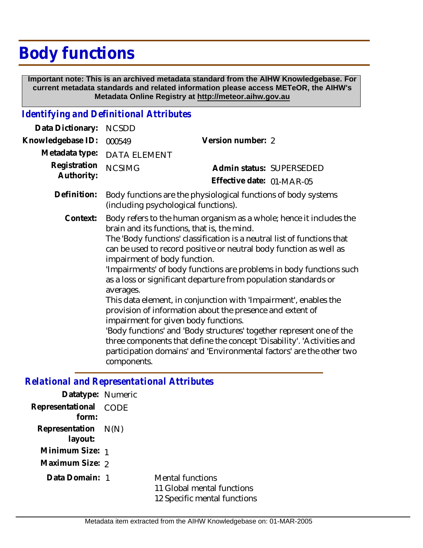## **Body functions**

 **Important note: This is an archived metadata standard from the AIHW Knowledgebase. For current metadata standards and related information please access METeOR, the AIHW's Metadata Online Registry at http://meteor.aihw.gov.au**

## *Identifying and Definitional Attributes*

| Data Dictionary:           | <b>NCSDD</b>                                                                                                                                                                                                                                                                                                                                                                                                                                                                                                                                                                                                                                                                                                                                                                                                                                                                 |                           |  |
|----------------------------|------------------------------------------------------------------------------------------------------------------------------------------------------------------------------------------------------------------------------------------------------------------------------------------------------------------------------------------------------------------------------------------------------------------------------------------------------------------------------------------------------------------------------------------------------------------------------------------------------------------------------------------------------------------------------------------------------------------------------------------------------------------------------------------------------------------------------------------------------------------------------|---------------------------|--|
| Knowledgebase ID:          | 000549                                                                                                                                                                                                                                                                                                                                                                                                                                                                                                                                                                                                                                                                                                                                                                                                                                                                       | Version number: 2         |  |
| Metadata type:             | DATA ELEMENT                                                                                                                                                                                                                                                                                                                                                                                                                                                                                                                                                                                                                                                                                                                                                                                                                                                                 |                           |  |
| Registration<br>Authority: | <b>NCSIMG</b>                                                                                                                                                                                                                                                                                                                                                                                                                                                                                                                                                                                                                                                                                                                                                                                                                                                                | Admin status: SUPERSEDED  |  |
|                            |                                                                                                                                                                                                                                                                                                                                                                                                                                                                                                                                                                                                                                                                                                                                                                                                                                                                              | Effective date: 01-MAR-05 |  |
| Definition:                | Body functions are the physiological functions of body systems<br>(including psychological functions).                                                                                                                                                                                                                                                                                                                                                                                                                                                                                                                                                                                                                                                                                                                                                                       |                           |  |
| Context:                   | Body refers to the human organism as a whole; hence it includes the<br>brain and its functions, that is, the mind.<br>The 'Body functions' classification is a neutral list of functions that<br>can be used to record positive or neutral body function as well as<br>impairment of body function.<br>'Impairments' of body functions are problems in body functions such<br>as a loss or significant departure from population standards or<br>averages.<br>This data element, in conjunction with 'Impairment', enables the<br>provision of information about the presence and extent of<br>impairment for given body functions.<br>'Body functions' and 'Body structures' together represent one of the<br>three components that define the concept 'Disability'. 'Activities and<br>participation domains' and 'Environmental factors' are the other two<br>components. |                           |  |

## *Relational and Representational Attributes*

| Mental functions<br>11 Global mental functions<br>12 Specific mental functions                                              |
|-----------------------------------------------------------------------------------------------------------------------------|
| Datatype: Numeric<br>Representational CODE<br>Representation $N(N)$<br>Minimum Size: 1<br>Maximum Size: 2<br>Data Domain: 1 |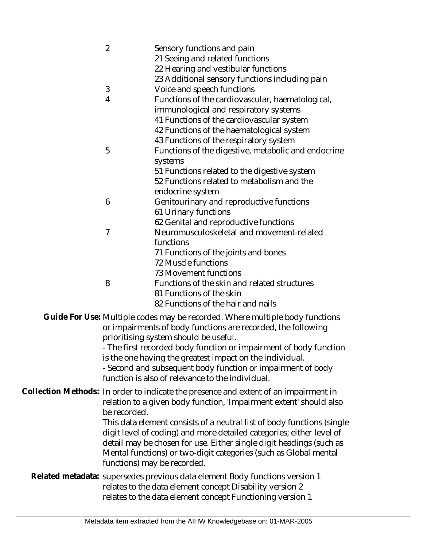| $\overline{2}$                                                                                                                                                                               | Sensory functions and pain                                                  |  |
|----------------------------------------------------------------------------------------------------------------------------------------------------------------------------------------------|-----------------------------------------------------------------------------|--|
|                                                                                                                                                                                              | 21 Seeing and related functions                                             |  |
|                                                                                                                                                                                              | 22 Hearing and vestibular functions                                         |  |
|                                                                                                                                                                                              | 23 Additional sensory functions including pain                              |  |
| 3                                                                                                                                                                                            | Voice and speech functions                                                  |  |
| 4                                                                                                                                                                                            | Functions of the cardiovascular, haematological,                            |  |
|                                                                                                                                                                                              | immunological and respiratory systems                                       |  |
|                                                                                                                                                                                              | 41 Functions of the cardiovascular system                                   |  |
|                                                                                                                                                                                              | 42 Functions of the haematological system                                   |  |
|                                                                                                                                                                                              | 43 Functions of the respiratory system                                      |  |
| 5                                                                                                                                                                                            | Functions of the digestive, metabolic and endocrine                         |  |
|                                                                                                                                                                                              | systems                                                                     |  |
|                                                                                                                                                                                              | 51 Functions related to the digestive system                                |  |
|                                                                                                                                                                                              | 52 Functions related to metabolism and the                                  |  |
|                                                                                                                                                                                              | endocrine system                                                            |  |
| 6                                                                                                                                                                                            | Genitourinary and reproductive functions                                    |  |
|                                                                                                                                                                                              | 61 Urinary functions                                                        |  |
|                                                                                                                                                                                              | 62 Genital and reproductive functions                                       |  |
| $\overline{7}$                                                                                                                                                                               | Neuromusculoskeletal and movement-related                                   |  |
|                                                                                                                                                                                              | functions                                                                   |  |
|                                                                                                                                                                                              | 71 Functions of the joints and bones                                        |  |
|                                                                                                                                                                                              | 72 Muscle functions                                                         |  |
|                                                                                                                                                                                              | 73 Movement functions                                                       |  |
| 8                                                                                                                                                                                            | Functions of the skin and related structures                                |  |
|                                                                                                                                                                                              | 81 Functions of the skin                                                    |  |
|                                                                                                                                                                                              | 82 Functions of the hair and nails                                          |  |
| Guide For Use: Multiple codes may be recorded. Where multiple body functions<br>or impairments of body functions are recorded, the following<br>prioritising system should be useful.        |                                                                             |  |
| - The first recorded body function or impairment of body function<br>is the one having the greatest impact on the individual.<br>- Second and subsequent body function or impairment of body |                                                                             |  |
|                                                                                                                                                                                              | function is also of relevance to the individual.                            |  |
|                                                                                                                                                                                              |                                                                             |  |
| Collection Methods: In order to indicate the presence and extent of an impairment in<br>relation to a given body function, 'Impairment extent' should also<br>be recorded.                   |                                                                             |  |
|                                                                                                                                                                                              | This data element consists of a neutral list of body functions (single      |  |
|                                                                                                                                                                                              | digit level of coding) and more detailed categories; either level of        |  |
|                                                                                                                                                                                              | detail may be chosen for use. Either single digit headings (such as         |  |
|                                                                                                                                                                                              | Mental functions) or two-digit categories (such as Global mental            |  |
|                                                                                                                                                                                              | functions) may be recorded.                                                 |  |
|                                                                                                                                                                                              | Related metadata: supersedes previous data element Body functions version 1 |  |
|                                                                                                                                                                                              | relates to the data element concept Disability version 2                    |  |
|                                                                                                                                                                                              | relates to the data element concept Functioning version 1                   |  |
|                                                                                                                                                                                              |                                                                             |  |